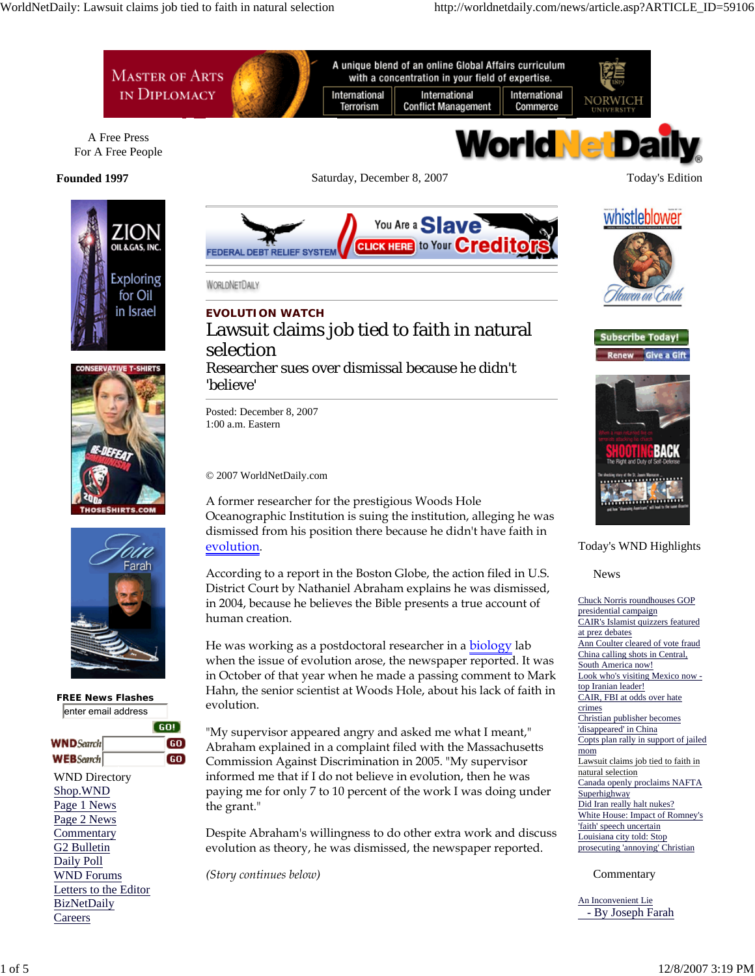







 **FREE News Flashes** enter email address

|                       | GO! |
|-----------------------|-----|
| <b>WND</b> Search     | 60  |
| <b>WEB</b> Search     | 60  |
| <b>WND Directory</b>  |     |
| Shop.WND              |     |
| Page 1 News           |     |
| Page 2 News           |     |
| Commentary            |     |
| G2 Bulletin           |     |
| Daily Poll            |     |
| <b>WND Forums</b>     |     |
| Letters to the Editor |     |
| <b>BizNetDaily</b>    |     |
| Careers               |     |

You Are a **Slave CLICK HERE** to Your **Credit** FEDERAL DEBT RELIEF SYSTEM

WORLDNETDAILY

# **EVOLUTION WATCH** Lawsuit claims job tied to faith in natural selection

# Researcher sues over dismissal because he didn't 'believe'

Posted: December 8, 2007 1:00 a.m. Eastern

© 2007 WorldNetDaily.com

A former researcher for the prestigious Woods Hole Oceanographic Institution is suing the institution, alleging he was dismissed from his position there because he didn't have faith in evolution.

According to a report in the Boston Globe, the action filed in U.S. District Court by Nathaniel Abraham explains he was dismissed, in 2004, because he believes the Bible presents a true account of human creation.

He was working as a postdoctoral researcher in a **biology** lab when the issue of evolution arose, the newspaper reported. It was in October of that year when he made a passing comment to Mark Hahn, the senior scientist at Woods Hole, about his lack of faith in evolution.

"My supervisor appeared angry and asked me what I meant," Abraham explained in a complaint filed with the Massachusetts Commission Against Discrimination in 2005. "My supervisor informed me that if I do not believe in evolution, then he was paying me for only 7 to 10 percent of the work I was doing under the grant."

Despite Abraham's willingness to do other extra work and discuss evolution as theory, he was dismissed, the newspaper reported.

*(Story continues below)*





**Subscribe Today!** 



# Today's WND Highlights

News

Chuck Norris roundhouses GOP presidential campaign CAIR's Islamist quizzers featured at prez debates Ann Coulter cleared of vote fraud China calling shots in Central, South America now! Look who's visiting Mexico now top Iranian leader! CAIR, FBI at odds over hate crimes Christian publisher becomes 'disappeared' in China Copts plan rally in support of jailed mom Lawsuit claims job tied to faith in natural selection Canada openly proclaims NAFTA Superhighway Did Iran really halt nukes? White House: Impact of Romney's 'faith' speech uncertain Louisiana city told: Stop prosecuting 'annoying' Christian

Commentary

An Inconvenient Lie - By Joseph Farah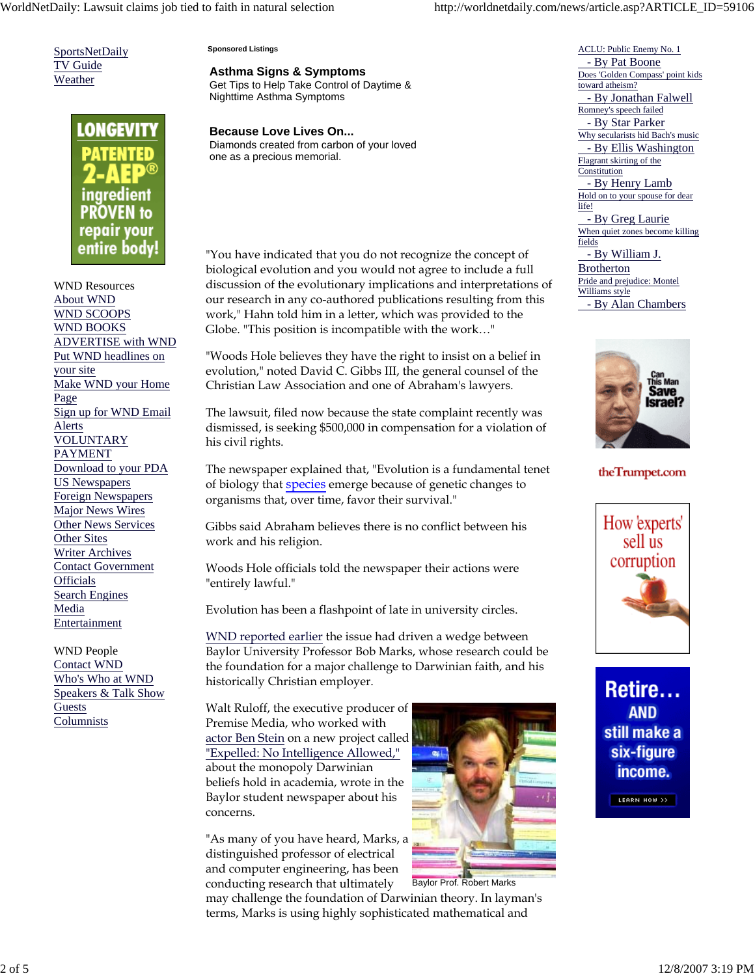SportsNetDaily TV Guide Weather



WND Resources About WND WND SCOOPS WND BOOKS ADVERTISE with WND Put WND headlines on your site Make WND your Home Page Sign up for WND Email Alerts VOLUNTARY **PAYMENT** Download to your PDA US Newspapers Foreign Newspapers **Major News Wires** Other News Services Other Sites Writer Archives Contact Government **Officials** Search Engines Media Entertainment

WND People Contact WND Who's Who at WND Speakers & Talk Show Guests Columnists

#### **Sponsored Listings**

**Asthma Signs & Symptoms**

Get Tips to Help Take Control of Daytime & Nighttime Asthma Symptoms

**Because Love Lives On...** Diamonds created from carbon of your loved one as a precious memorial.

"You have indicated that you do not recognize the concept of biological evolution and you would not agree to include a full discussion of the evolutionary implications and interpretations of our research in any co-authored publications resulting from this work," Hahn told him in a letter, which was provided to the Globe. "This position is incompatible with the work…"

"Woods Hole believes they have the right to insist on a belief in evolution," noted David C. Gibbs III, the general counsel of the Christian Law Association and one of Abraham's lawyers.

The lawsuit, filed now because the state complaint recently was dismissed, is seeking \$500,000 in compensation for a violation of his civil rights.

The newspaper explained that, "Evolution is a fundamental tenet of biology that **species** emerge because of genetic changes to organisms that, over time, favor their survival."

Gibbs said Abraham believes there is no conflict between his work and his religion.

Woods Hole officials told the newspaper their actions were "entirely lawful."

Evolution has been a flashpoint of late in university circles.

WND reported earlier the issue had driven a wedge between Baylor University Professor Bob Marks, whose research could be the foundation for a major challenge to Darwinian faith, and his historically Christian employer.

Walt Ruloff, the executive producer of Premise Media, who worked with actor Ben Stein on a new project called "Expelled: No Intelligence Allowed," about the monopoly Darwinian beliefs hold in academia, wrote in the Baylor student newspaper about his concerns.

"As many of you have heard, Marks, a distinguished professor of electrical and computer engineering, has been



Baylor Prof. Robert Marks conducting research that ultimately may challenge the foundation of Darwinian theory. In layman's terms, Marks is using highly sophisticated mathematical and

ACLU: Public Enemy No. 1 - By Pat Boone Does 'Golden Compass' point kids toward atheism? - By Jonathan Falwell Romney's speech failed - By Star Parker Why secularists hid Bach's music - By Ellis Washington Flagrant skirting of the Constitution - By Henry Lamb Hold on to your spouse for dear life! - By Greg Laurie When quiet zones become killing fields - By William J. **Brotherton** Pride and prejudice: Montel Williams style

> iave srael?

- By Alan Chambers

## theTrumpet.com



Retire... **AND** still make a six-figure income. LEARN HOW >>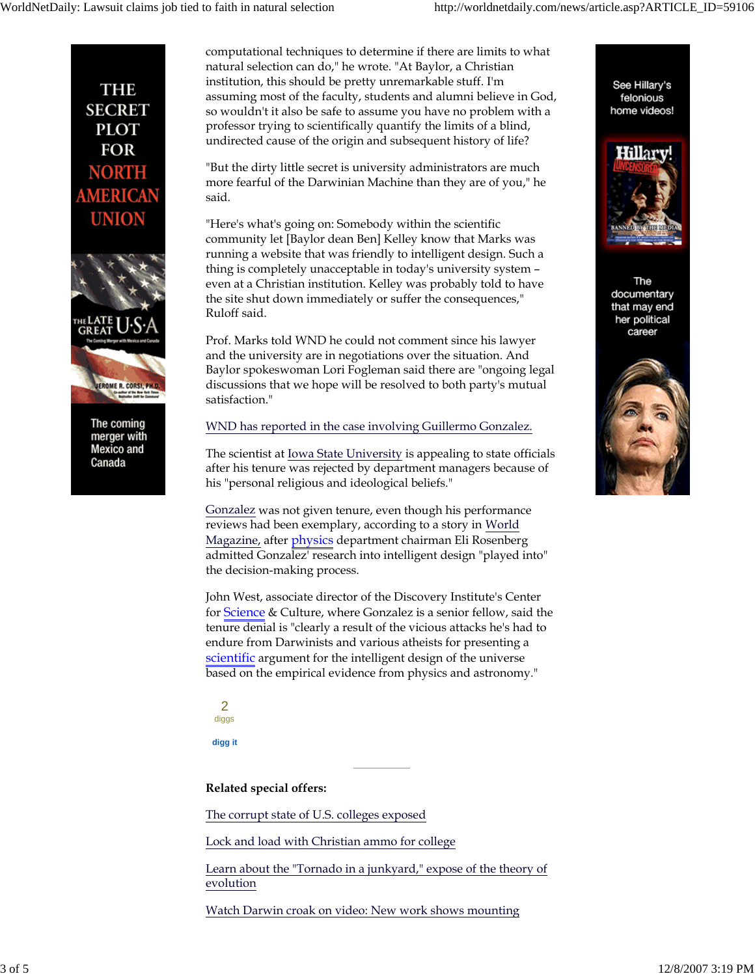See Hillary's

felonious

home videos!

fillary

The documentary that may end her political career



merger with Mexico and Canada

computational techniques to determine if there are limits to what natural selection can do," he wrote. "At Baylor, a Christian institution, this should be pretty unremarkable stuff. I'm assuming most of the faculty, students and alumni believe in God, so wouldn't it also be safe to assume you have no problem with a professor trying to scientifically quantify the limits of a blind, undirected cause of the origin and subsequent history of life?

"But the dirty little secret is university administrators are much more fearful of the Darwinian Machine than they are of you," he said.

"Here's what's going on: Somebody within the scientific community let [Baylor dean Ben] Kelley know that Marks was running a website that was friendly to intelligent design. Such a thing is completely unacceptable in today's university system – even at a Christian institution. Kelley was probably told to have the site shut down immediately or suffer the consequences," Ruloff said.

Prof. Marks told WND he could not comment since his lawyer and the university are in negotiations over the situation. And Baylor spokeswoman Lori Fogleman said there are "ongoing legal discussions that we hope will be resolved to both party's mutual satisfaction."

# WND has reported in the case involving Guillermo Gonzalez.

The scientist at Iowa State University is appealing to state officials after his tenure was rejected by department managers because of his "personal religious and ideological beliefs."

Gonzalez was not given tenure, even though his performance reviews had been exemplary, according to a story in World Magazine, after physics department chairman Eli Rosenberg admitted Gonzalez' research into intelligent design "played into" the decision-making process.

John West, associate director of the Discovery Institute's Center for Science & Culture, where Gonzalez is a senior fellow, said the tenure denial is "clearly a result of the vicious attacks he's had to endure from Darwinists and various atheists for presenting a scientific argument for the intelligent design of the universe based on the empirical evidence from physics and astronomy."

|        | ۰.          |
|--------|-------------|
| ٧<br>٩ | ٩<br>$\sim$ |

**digg it**

**Related special offers:**

The corrupt state of U.S. colleges exposed

Lock and load with Christian ammo for college

Learn about the "Tornado in a junkyard," expose of the theory of evolution

Watch Darwin croak on video: New work shows mounting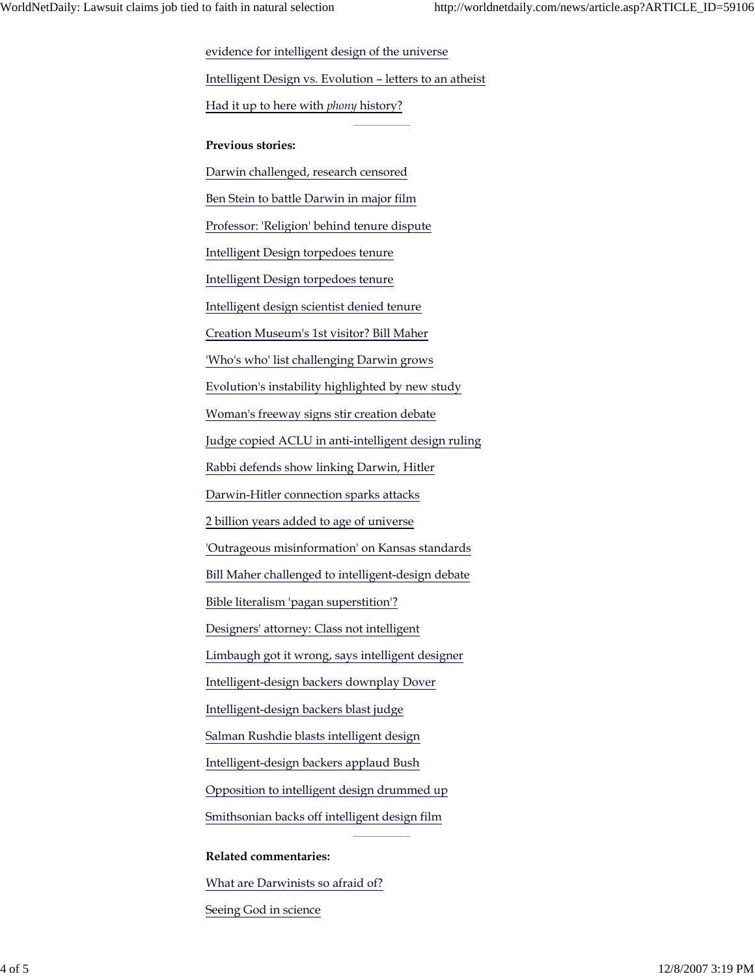evidence for intelligent design of the universe Intelligent Design vs. Evolution – letters to an atheist Had it up to here with *phony* history? **Previous stories:** Darwin challenged, research censored Ben Stein to battle Darwin in major film Professor: 'Religion' behind tenure dispute Intelligent Design torpedoes tenure Intelligent Design torpedoes tenure Intelligent design scientist denied tenure Creation Museum's 1st visitor? Bill Maher 'Who's who' list challenging Darwin grows Evolution's instability highlighted by new study Woman's freeway signs stir creation debate Judge copied ACLU in anti-intelligent design ruling Rabbi defends show linking Darwin, Hitler Darwin-Hitler connection sparks attacks 2 billion years added to age of universe 'Outrageous misinformation' on Kansas standards Bill Maher challenged to intelligent-design debate Bible literalism 'pagan superstition'? Designers' attorney: Class not intelligent Limbaugh got it wrong, says intelligent designer Intelligent-design backers downplay Dover Intelligent-design backers blast judge Salman Rushdie blasts intelligent design Intelligent-design backers applaud Bush Opposition to intelligent design drummed up Smithsonian backs off intelligent design film

### **Related commentaries:**

What are Darwinists so afraid of?

Seeing God in science